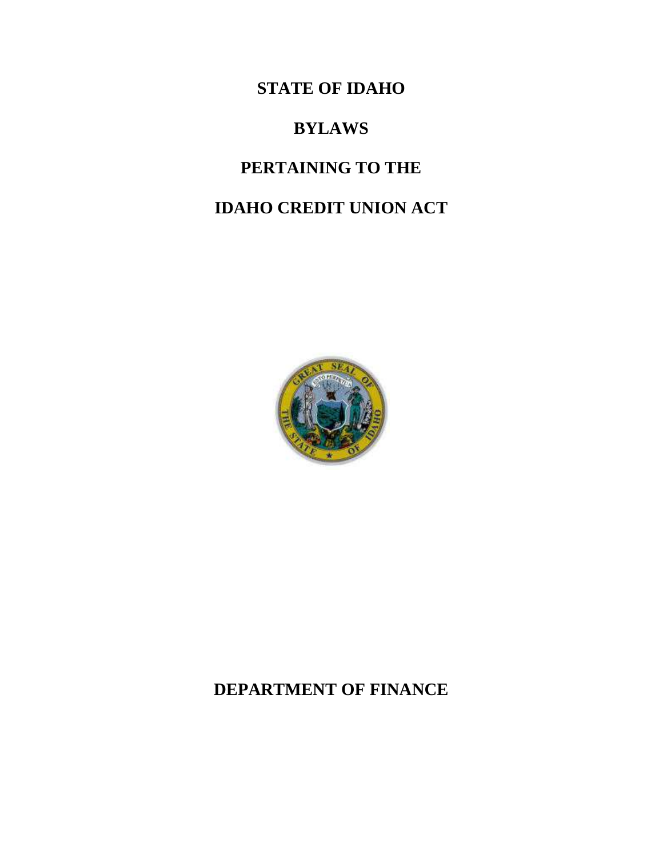**STATE OF IDAHO**

# **BYLAWS**

# **PERTAINING TO THE**

# **IDAHO CREDIT UNION ACT**



# **DEPARTMENT OF FINANCE**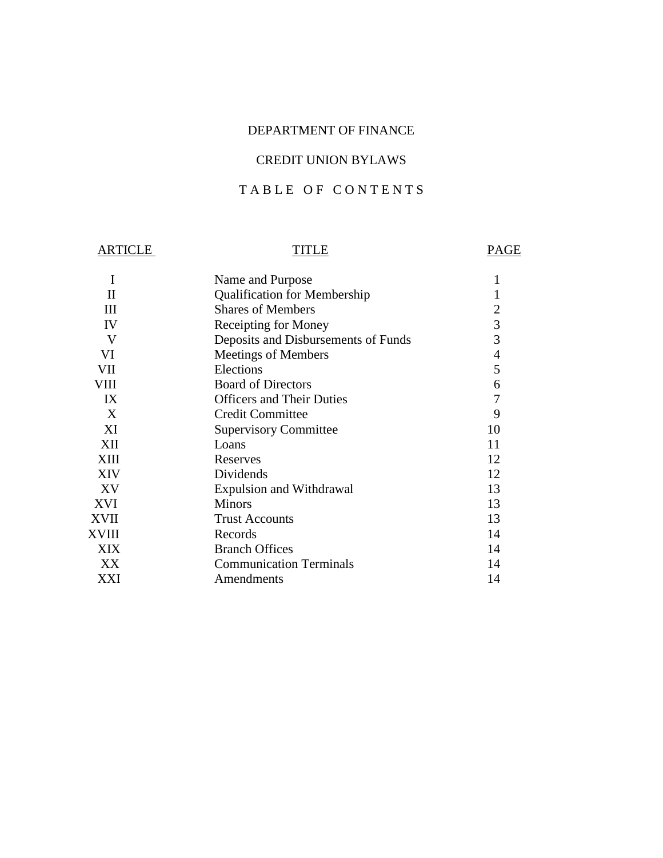# DEPARTMENT OF FINANCE

# CREDIT UNION BYLAWS

# TABLE OF CONTENTS

# ARTICLE TITLE PAGE

| Ι           | Name and Purpose                    | 1                        |
|-------------|-------------------------------------|--------------------------|
| П           | <b>Qualification for Membership</b> |                          |
| Ш           | <b>Shares of Members</b>            | 2                        |
| IV          | Receipting for Money                | 3                        |
| V           | Deposits and Disbursements of Funds | 3                        |
| VI          | Meetings of Members                 | $\overline{\mathcal{A}}$ |
| VII         | Elections                           | 5                        |
| VIII        | <b>Board of Directors</b>           | 6                        |
| IX          | <b>Officers and Their Duties</b>    | 7                        |
| X           | <b>Credit Committee</b>             | 9                        |
| XI          | <b>Supervisory Committee</b>        | 10                       |
| XII         | Loans                               | 11                       |
| <b>XIII</b> | Reserves                            | 12                       |
| <b>XIV</b>  | Dividends                           | 12                       |
| XV          | <b>Expulsion and Withdrawal</b>     | 13                       |
| <b>XVI</b>  | <b>Minors</b>                       | 13                       |
| <b>XVII</b> | <b>Trust Accounts</b>               | 13                       |
| XVIII       | Records                             | 14                       |
| <b>XIX</b>  | <b>Branch Offices</b>               | 14                       |
| XX          | <b>Communication Terminals</b>      | 14                       |
| XXI         | Amendments                          | 14                       |
|             |                                     |                          |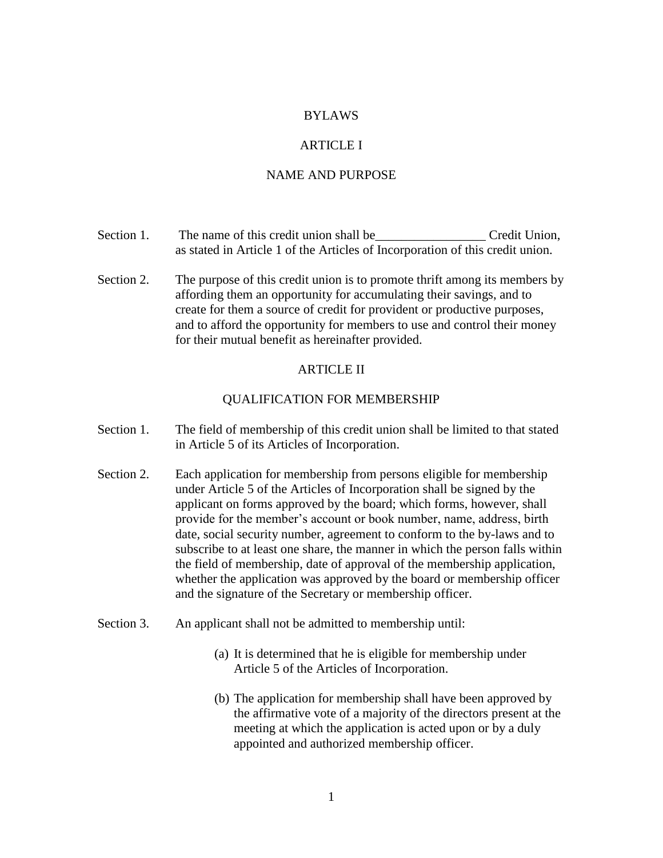# BYLAWS

# ARTICLE I

# NAME AND PURPOSE

| Section 1. | The name of this credit union shall be                                        | Credit Union. |
|------------|-------------------------------------------------------------------------------|---------------|
|            | as stated in Article 1 of the Articles of Incorporation of this credit union. |               |

Section 2. The purpose of this credit union is to promote thrift among its members by affording them an opportunity for accumulating their savings, and to create for them a source of credit for provident or productive purposes, and to afford the opportunity for members to use and control their money for their mutual benefit as hereinafter provided.

#### ARTICLE II

#### QUALIFICATION FOR MEMBERSHIP

- Section 1. The field of membership of this credit union shall be limited to that stated in Article 5 of its Articles of Incorporation.
- Section 2. Each application for membership from persons eligible for membership under Article 5 of the Articles of Incorporation shall be signed by the applicant on forms approved by the board; which forms, however, shall provide for the member's account or book number, name, address, birth date, social security number, agreement to conform to the by-laws and to subscribe to at least one share, the manner in which the person falls within the field of membership, date of approval of the membership application, whether the application was approved by the board or membership officer and the signature of the Secretary or membership officer.
- Section 3. An applicant shall not be admitted to membership until:
	- (a) It is determined that he is eligible for membership under Article 5 of the Articles of Incorporation.
	- (b) The application for membership shall have been approved by the affirmative vote of a majority of the directors present at the meeting at which the application is acted upon or by a duly appointed and authorized membership officer.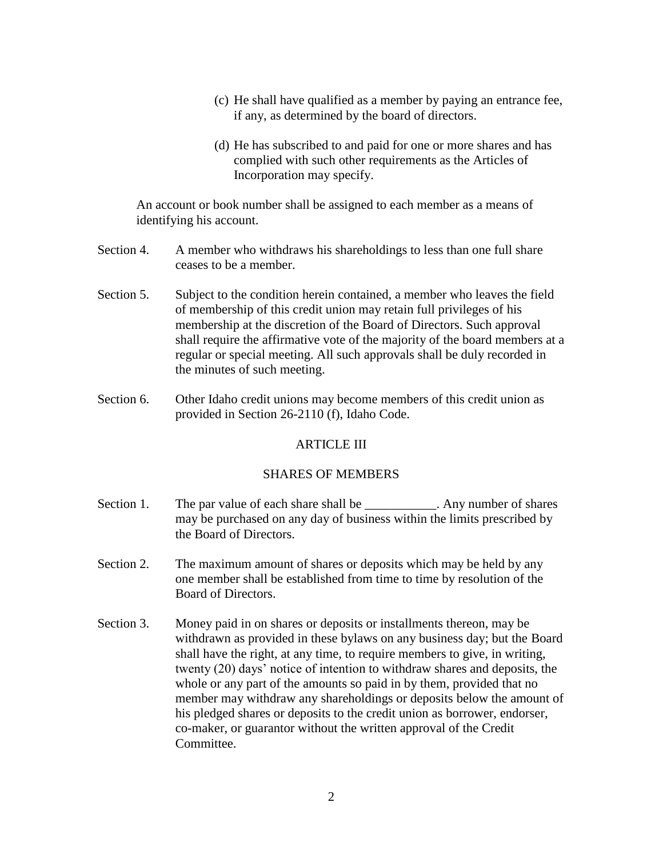- (c) He shall have qualified as a member by paying an entrance fee, if any, as determined by the board of directors.
- (d) He has subscribed to and paid for one or more shares and has complied with such other requirements as the Articles of Incorporation may specify.

An account or book number shall be assigned to each member as a means of identifying his account.

- Section 4. A member who withdraws his shareholdings to less than one full share ceases to be a member.
- Section 5. Subject to the condition herein contained, a member who leaves the field of membership of this credit union may retain full privileges of his membership at the discretion of the Board of Directors. Such approval shall require the affirmative vote of the majority of the board members at a regular or special meeting. All such approvals shall be duly recorded in the minutes of such meeting.
- Section 6. Other Idaho credit unions may become members of this credit union as provided in Section 26-2110 (f), Idaho Code.

## ARTICLE III

## SHARES OF MEMBERS

- Section 1. The par value of each share shall be \_\_\_\_\_\_\_\_\_\_\_. Any number of shares may be purchased on any day of business within the limits prescribed by the Board of Directors.
- Section 2. The maximum amount of shares or deposits which may be held by any one member shall be established from time to time by resolution of the Board of Directors.
- Section 3. Money paid in on shares or deposits or installments thereon, may be withdrawn as provided in these bylaws on any business day; but the Board shall have the right, at any time, to require members to give, in writing, twenty (20) days' notice of intention to withdraw shares and deposits, the whole or any part of the amounts so paid in by them, provided that no member may withdraw any shareholdings or deposits below the amount of his pledged shares or deposits to the credit union as borrower, endorser, co-maker, or guarantor without the written approval of the Credit Committee.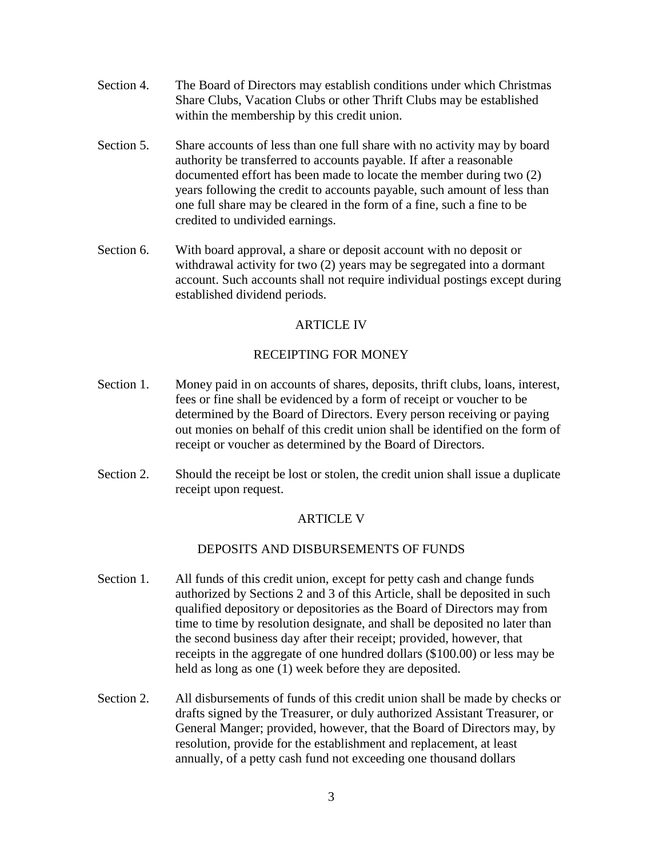- Section 4. The Board of Directors may establish conditions under which Christmas Share Clubs, Vacation Clubs or other Thrift Clubs may be established within the membership by this credit union.
- Section 5. Share accounts of less than one full share with no activity may by board authority be transferred to accounts payable. If after a reasonable documented effort has been made to locate the member during two (2) years following the credit to accounts payable, such amount of less than one full share may be cleared in the form of a fine, such a fine to be credited to undivided earnings.
- Section 6. With board approval, a share or deposit account with no deposit or withdrawal activity for two (2) years may be segregated into a dormant account. Such accounts shall not require individual postings except during established dividend periods.

# ARTICLE IV

# RECEIPTING FOR MONEY

- Section 1. Money paid in on accounts of shares, deposits, thrift clubs, loans, interest, fees or fine shall be evidenced by a form of receipt or voucher to be determined by the Board of Directors. Every person receiving or paying out monies on behalf of this credit union shall be identified on the form of receipt or voucher as determined by the Board of Directors.
- Section 2. Should the receipt be lost or stolen, the credit union shall issue a duplicate receipt upon request.

# ARTICLE V

## DEPOSITS AND DISBURSEMENTS OF FUNDS

- Section 1. All funds of this credit union, except for petty cash and change funds authorized by Sections 2 and 3 of this Article, shall be deposited in such qualified depository or depositories as the Board of Directors may from time to time by resolution designate, and shall be deposited no later than the second business day after their receipt; provided, however, that receipts in the aggregate of one hundred dollars (\$100.00) or less may be held as long as one (1) week before they are deposited.
- Section 2. All disbursements of funds of this credit union shall be made by checks or drafts signed by the Treasurer, or duly authorized Assistant Treasurer, or General Manger; provided, however, that the Board of Directors may, by resolution, provide for the establishment and replacement, at least annually, of a petty cash fund not exceeding one thousand dollars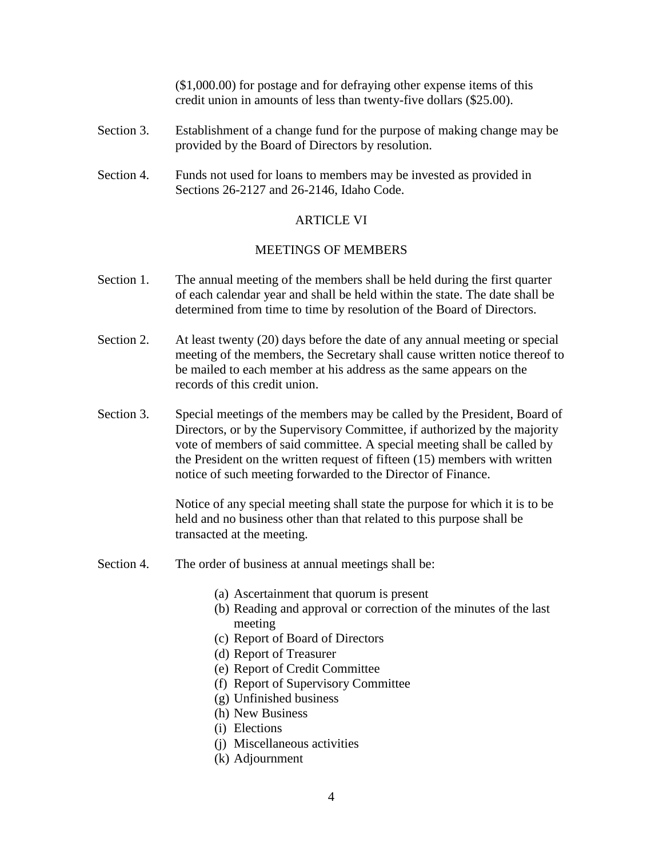(\$1,000.00) for postage and for defraying other expense items of this credit union in amounts of less than twenty-five dollars (\$25.00).

- Section 3. Establishment of a change fund for the purpose of making change may be provided by the Board of Directors by resolution.
- Section 4. Funds not used for loans to members may be invested as provided in Sections 26-2127 and 26-2146, Idaho Code.

# ARTICLE VI

# MEETINGS OF MEMBERS

- Section 1. The annual meeting of the members shall be held during the first quarter of each calendar year and shall be held within the state. The date shall be determined from time to time by resolution of the Board of Directors.
- Section 2. At least twenty (20) days before the date of any annual meeting or special meeting of the members, the Secretary shall cause written notice thereof to be mailed to each member at his address as the same appears on the records of this credit union.
- Section 3. Special meetings of the members may be called by the President, Board of Directors, or by the Supervisory Committee, if authorized by the majority vote of members of said committee. A special meeting shall be called by the President on the written request of fifteen (15) members with written notice of such meeting forwarded to the Director of Finance.

Notice of any special meeting shall state the purpose for which it is to be held and no business other than that related to this purpose shall be transacted at the meeting.

- Section 4. The order of business at annual meetings shall be:
	- (a) Ascertainment that quorum is present
	- (b) Reading and approval or correction of the minutes of the last meeting
	- (c) Report of Board of Directors
	- (d) Report of Treasurer
	- (e) Report of Credit Committee
	- (f) Report of Supervisory Committee
	- (g) Unfinished business
	- (h) New Business
	- (i) Elections
	- (j) Miscellaneous activities
	- (k) Adjournment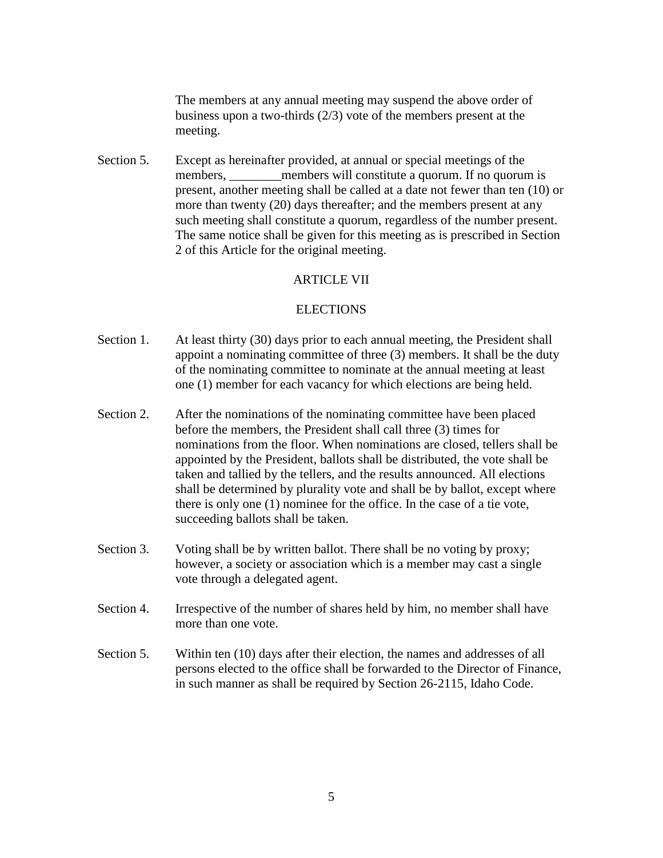The members at any annual meeting may suspend the above order of business upon a two-thirds (2/3) vote of the members present at the meeting.

Section 5. Except as hereinafter provided, at annual or special meetings of the members, members will constitute a quorum. If no quorum is present, another meeting shall be called at a date not fewer than ten (10) or more than twenty (20) days thereafter; and the members present at any such meeting shall constitute a quorum, regardless of the number present. The same notice shall be given for this meeting as is prescribed in Section 2 of this Article for the original meeting.

## ARTICLE VII

#### ELECTIONS

- Section 1. At least thirty (30) days prior to each annual meeting, the President shall appoint a nominating committee of three (3) members. It shall be the duty of the nominating committee to nominate at the annual meeting at least one (1) member for each vacancy for which elections are being held.
- Section 2. After the nominations of the nominating committee have been placed before the members, the President shall call three (3) times for nominations from the floor. When nominations are closed, tellers shall be appointed by the President, ballots shall be distributed, the vote shall be taken and tallied by the tellers, and the results announced. All elections shall be determined by plurality vote and shall be by ballot, except where there is only one (1) nominee for the office. In the case of a tie vote, succeeding ballots shall be taken.
- Section 3. Voting shall be by written ballot. There shall be no voting by proxy; however, a society or association which is a member may cast a single vote through a delegated agent.
- Section 4. Irrespective of the number of shares held by him, no member shall have more than one vote.
- Section 5. Within ten (10) days after their election, the names and addresses of all persons elected to the office shall be forwarded to the Director of Finance, in such manner as shall be required by Section 26-2115, Idaho Code.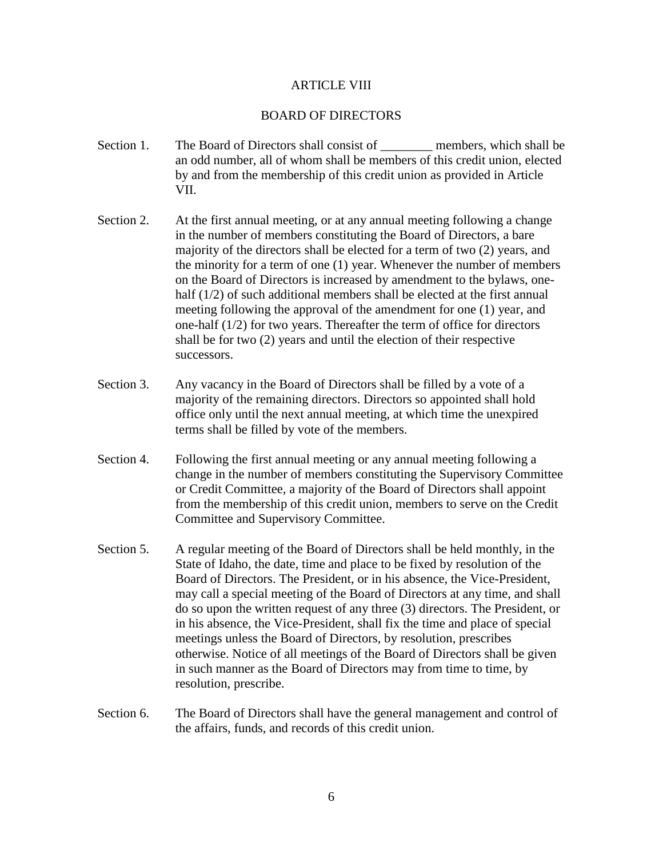## ARTICLE VIII

#### BOARD OF DIRECTORS

- Section 1. The Board of Directors shall consist of The members, which shall be an odd number, all of whom shall be members of this credit union, elected by and from the membership of this credit union as provided in Article VII.
- Section 2. At the first annual meeting, or at any annual meeting following a change in the number of members constituting the Board of Directors, a bare majority of the directors shall be elected for a term of two (2) years, and the minority for a term of one (1) year. Whenever the number of members on the Board of Directors is increased by amendment to the bylaws, onehalf (1/2) of such additional members shall be elected at the first annual meeting following the approval of the amendment for one (1) year, and one-half (1/2) for two years. Thereafter the term of office for directors shall be for two (2) years and until the election of their respective successors.
- Section 3. Any vacancy in the Board of Directors shall be filled by a vote of a majority of the remaining directors. Directors so appointed shall hold office only until the next annual meeting, at which time the unexpired terms shall be filled by vote of the members.
- Section 4. Following the first annual meeting or any annual meeting following a change in the number of members constituting the Supervisory Committee or Credit Committee, a majority of the Board of Directors shall appoint from the membership of this credit union, members to serve on the Credit Committee and Supervisory Committee.
- Section 5. A regular meeting of the Board of Directors shall be held monthly, in the State of Idaho, the date, time and place to be fixed by resolution of the Board of Directors. The President, or in his absence, the Vice-President, may call a special meeting of the Board of Directors at any time, and shall do so upon the written request of any three (3) directors. The President, or in his absence, the Vice-President, shall fix the time and place of special meetings unless the Board of Directors, by resolution, prescribes otherwise. Notice of all meetings of the Board of Directors shall be given in such manner as the Board of Directors may from time to time, by resolution, prescribe.
- Section 6. The Board of Directors shall have the general management and control of the affairs, funds, and records of this credit union.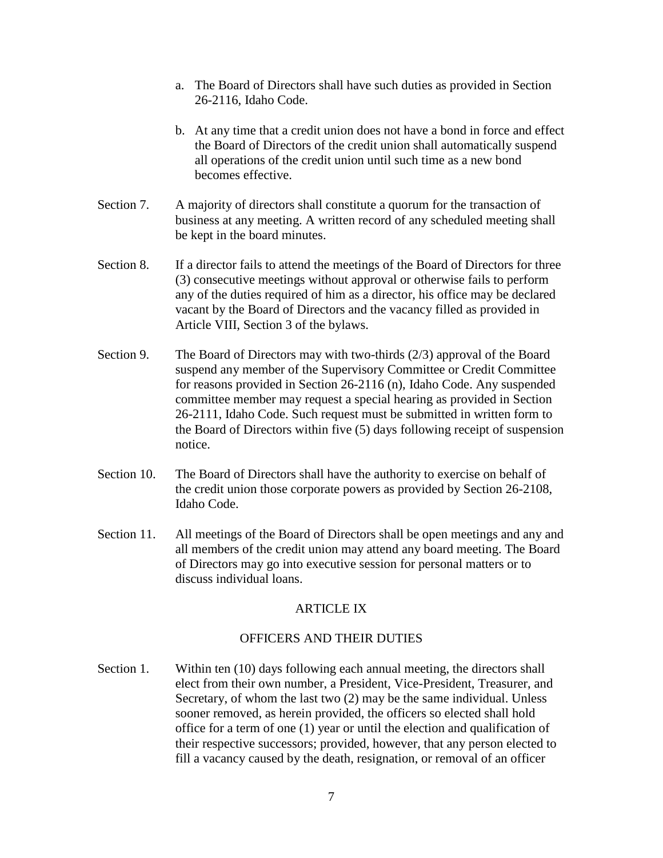- a. The Board of Directors shall have such duties as provided in Section 26-2116, Idaho Code.
- b. At any time that a credit union does not have a bond in force and effect the Board of Directors of the credit union shall automatically suspend all operations of the credit union until such time as a new bond becomes effective.
- Section 7. A majority of directors shall constitute a quorum for the transaction of business at any meeting. A written record of any scheduled meeting shall be kept in the board minutes.
- Section 8. If a director fails to attend the meetings of the Board of Directors for three (3) consecutive meetings without approval or otherwise fails to perform any of the duties required of him as a director, his office may be declared vacant by the Board of Directors and the vacancy filled as provided in Article VIII, Section 3 of the bylaws.
- Section 9. The Board of Directors may with two-thirds (2/3) approval of the Board suspend any member of the Supervisory Committee or Credit Committee for reasons provided in Section 26-2116 (n), Idaho Code. Any suspended committee member may request a special hearing as provided in Section 26-2111, Idaho Code. Such request must be submitted in written form to the Board of Directors within five (5) days following receipt of suspension notice.
- Section 10. The Board of Directors shall have the authority to exercise on behalf of the credit union those corporate powers as provided by Section 26-2108, Idaho Code.
- Section 11. All meetings of the Board of Directors shall be open meetings and any and all members of the credit union may attend any board meeting. The Board of Directors may go into executive session for personal matters or to discuss individual loans.

# ARTICLE IX

## OFFICERS AND THEIR DUTIES

Section 1. Within ten (10) days following each annual meeting, the directors shall elect from their own number, a President, Vice-President, Treasurer, and Secretary, of whom the last two (2) may be the same individual. Unless sooner removed, as herein provided, the officers so elected shall hold office for a term of one (1) year or until the election and qualification of their respective successors; provided, however, that any person elected to fill a vacancy caused by the death, resignation, or removal of an officer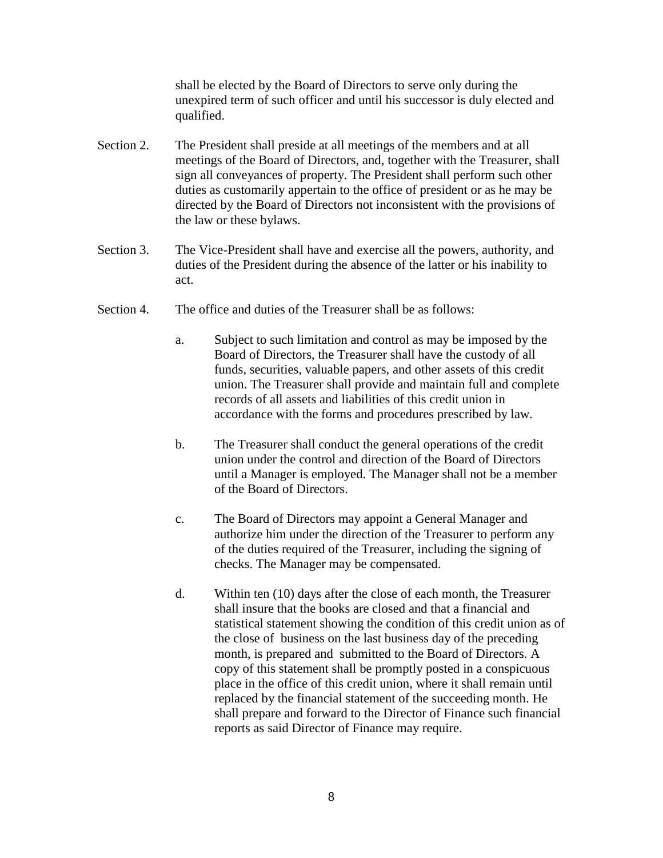shall be elected by the Board of Directors to serve only during the unexpired term of such officer and until his successor is duly elected and qualified.

- Section 2. The President shall preside at all meetings of the members and at all meetings of the Board of Directors, and, together with the Treasurer, shall sign all conveyances of property. The President shall perform such other duties as customarily appertain to the office of president or as he may be directed by the Board of Directors not inconsistent with the provisions of the law or these bylaws.
- Section 3. The Vice-President shall have and exercise all the powers, authority, and duties of the President during the absence of the latter or his inability to act.
- Section 4. The office and duties of the Treasurer shall be as follows:
	- a. Subject to such limitation and control as may be imposed by the Board of Directors, the Treasurer shall have the custody of all funds, securities, valuable papers, and other assets of this credit union. The Treasurer shall provide and maintain full and complete records of all assets and liabilities of this credit union in accordance with the forms and procedures prescribed by law.
	- b. The Treasurer shall conduct the general operations of the credit union under the control and direction of the Board of Directors until a Manager is employed. The Manager shall not be a member of the Board of Directors.
	- c. The Board of Directors may appoint a General Manager and authorize him under the direction of the Treasurer to perform any of the duties required of the Treasurer, including the signing of checks. The Manager may be compensated.
	- d. Within ten (10) days after the close of each month, the Treasurer shall insure that the books are closed and that a financial and statistical statement showing the condition of this credit union as of the close of business on the last business day of the preceding month, is prepared and submitted to the Board of Directors. A copy of this statement shall be promptly posted in a conspicuous place in the office of this credit union, where it shall remain until replaced by the financial statement of the succeeding month. He shall prepare and forward to the Director of Finance such financial reports as said Director of Finance may require.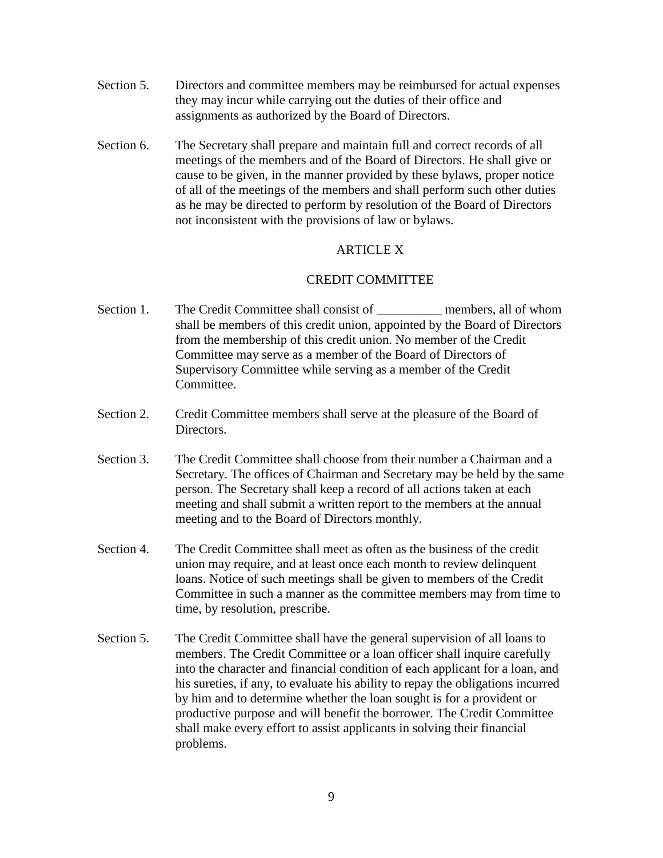- Section 5. Directors and committee members may be reimbursed for actual expenses they may incur while carrying out the duties of their office and assignments as authorized by the Board of Directors.
- Section 6. The Secretary shall prepare and maintain full and correct records of all meetings of the members and of the Board of Directors. He shall give or cause to be given, in the manner provided by these bylaws, proper notice of all of the meetings of the members and shall perform such other duties as he may be directed to perform by resolution of the Board of Directors not inconsistent with the provisions of law or bylaws.

# ARTICLE X

# CREDIT COMMITTEE

- Section 1. The Credit Committee shall consist of \_\_\_\_\_\_\_\_\_\_\_ members, all of whom shall be members of this credit union, appointed by the Board of Directors from the membership of this credit union. No member of the Credit Committee may serve as a member of the Board of Directors of Supervisory Committee while serving as a member of the Credit Committee.
- Section 2. Credit Committee members shall serve at the pleasure of the Board of Directors.
- Section 3. The Credit Committee shall choose from their number a Chairman and a Secretary. The offices of Chairman and Secretary may be held by the same person. The Secretary shall keep a record of all actions taken at each meeting and shall submit a written report to the members at the annual meeting and to the Board of Directors monthly.
- Section 4. The Credit Committee shall meet as often as the business of the credit union may require, and at least once each month to review delinquent loans. Notice of such meetings shall be given to members of the Credit Committee in such a manner as the committee members may from time to time, by resolution, prescribe.
- Section 5. The Credit Committee shall have the general supervision of all loans to members. The Credit Committee or a loan officer shall inquire carefully into the character and financial condition of each applicant for a loan, and his sureties, if any, to evaluate his ability to repay the obligations incurred by him and to determine whether the loan sought is for a provident or productive purpose and will benefit the borrower. The Credit Committee shall make every effort to assist applicants in solving their financial problems.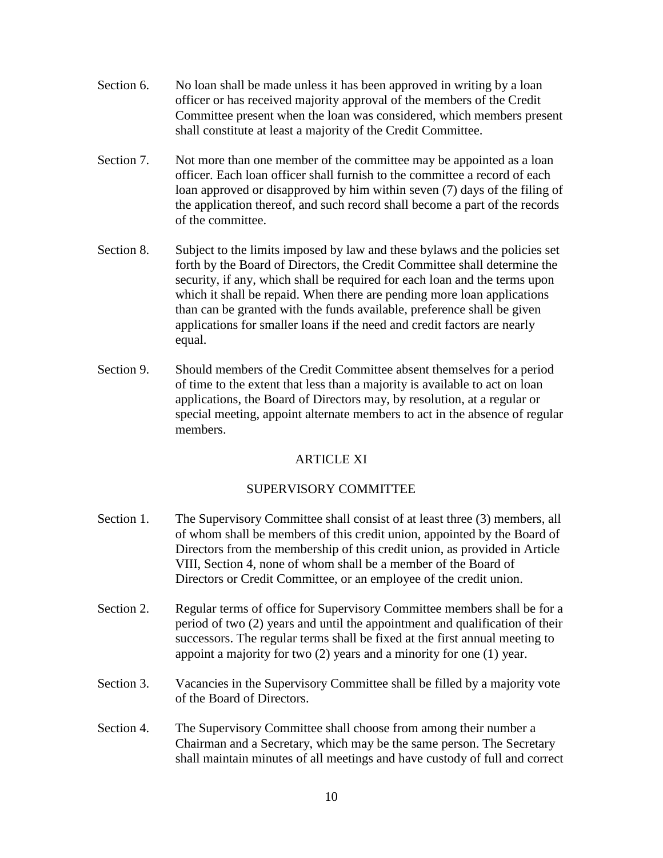- Section 6. No loan shall be made unless it has been approved in writing by a loan officer or has received majority approval of the members of the Credit Committee present when the loan was considered, which members present shall constitute at least a majority of the Credit Committee.
- Section 7. Not more than one member of the committee may be appointed as a loan officer. Each loan officer shall furnish to the committee a record of each loan approved or disapproved by him within seven (7) days of the filing of the application thereof, and such record shall become a part of the records of the committee.
- Section 8. Subject to the limits imposed by law and these bylaws and the policies set forth by the Board of Directors, the Credit Committee shall determine the security, if any, which shall be required for each loan and the terms upon which it shall be repaid. When there are pending more loan applications than can be granted with the funds available, preference shall be given applications for smaller loans if the need and credit factors are nearly equal.
- Section 9. Should members of the Credit Committee absent themselves for a period of time to the extent that less than a majority is available to act on loan applications, the Board of Directors may, by resolution, at a regular or special meeting, appoint alternate members to act in the absence of regular members.

# ARTICLE XI

# SUPERVISORY COMMITTEE

- Section 1. The Supervisory Committee shall consist of at least three (3) members, all of whom shall be members of this credit union, appointed by the Board of Directors from the membership of this credit union, as provided in Article VIII, Section 4, none of whom shall be a member of the Board of Directors or Credit Committee, or an employee of the credit union.
- Section 2. Regular terms of office for Supervisory Committee members shall be for a period of two (2) years and until the appointment and qualification of their successors. The regular terms shall be fixed at the first annual meeting to appoint a majority for two (2) years and a minority for one (1) year.
- Section 3. Vacancies in the Supervisory Committee shall be filled by a majority vote of the Board of Directors.
- Section 4. The Supervisory Committee shall choose from among their number a Chairman and a Secretary, which may be the same person. The Secretary shall maintain minutes of all meetings and have custody of full and correct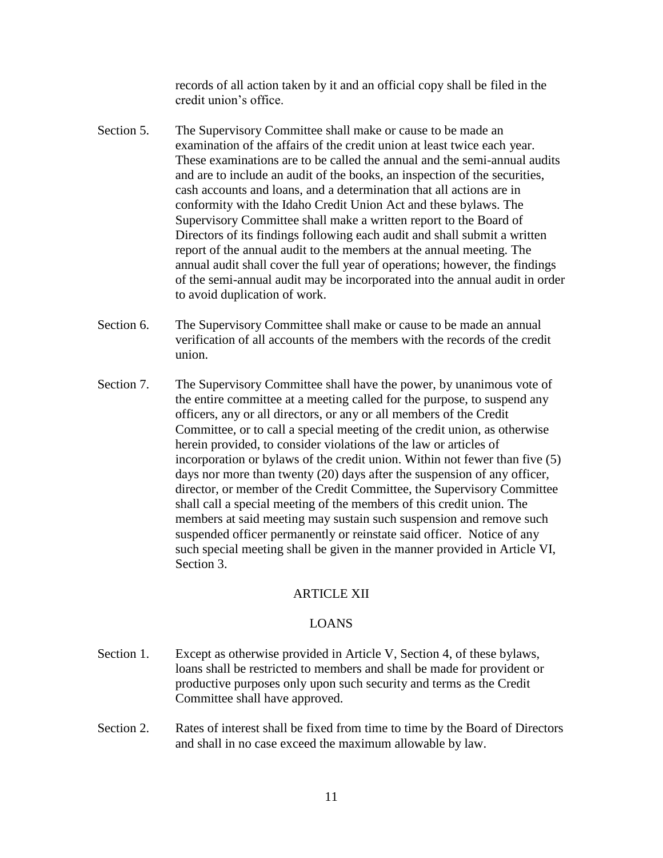records of all action taken by it and an official copy shall be filed in the credit union's office.

- Section 5. The Supervisory Committee shall make or cause to be made an examination of the affairs of the credit union at least twice each year. These examinations are to be called the annual and the semi-annual audits and are to include an audit of the books, an inspection of the securities, cash accounts and loans, and a determination that all actions are in conformity with the Idaho Credit Union Act and these bylaws. The Supervisory Committee shall make a written report to the Board of Directors of its findings following each audit and shall submit a written report of the annual audit to the members at the annual meeting. The annual audit shall cover the full year of operations; however, the findings of the semi-annual audit may be incorporated into the annual audit in order to avoid duplication of work.
- Section 6. The Supervisory Committee shall make or cause to be made an annual verification of all accounts of the members with the records of the credit union.
- Section 7. The Supervisory Committee shall have the power, by unanimous vote of the entire committee at a meeting called for the purpose, to suspend any officers, any or all directors, or any or all members of the Credit Committee, or to call a special meeting of the credit union, as otherwise herein provided, to consider violations of the law or articles of incorporation or bylaws of the credit union. Within not fewer than five (5) days nor more than twenty (20) days after the suspension of any officer, director, or member of the Credit Committee, the Supervisory Committee shall call a special meeting of the members of this credit union. The members at said meeting may sustain such suspension and remove such suspended officer permanently or reinstate said officer. Notice of any such special meeting shall be given in the manner provided in Article VI, Section 3.

# ARTICLE XII

# LOANS

- Section 1. Except as otherwise provided in Article V, Section 4, of these bylaws, loans shall be restricted to members and shall be made for provident or productive purposes only upon such security and terms as the Credit Committee shall have approved.
- Section 2. Rates of interest shall be fixed from time to time by the Board of Directors and shall in no case exceed the maximum allowable by law.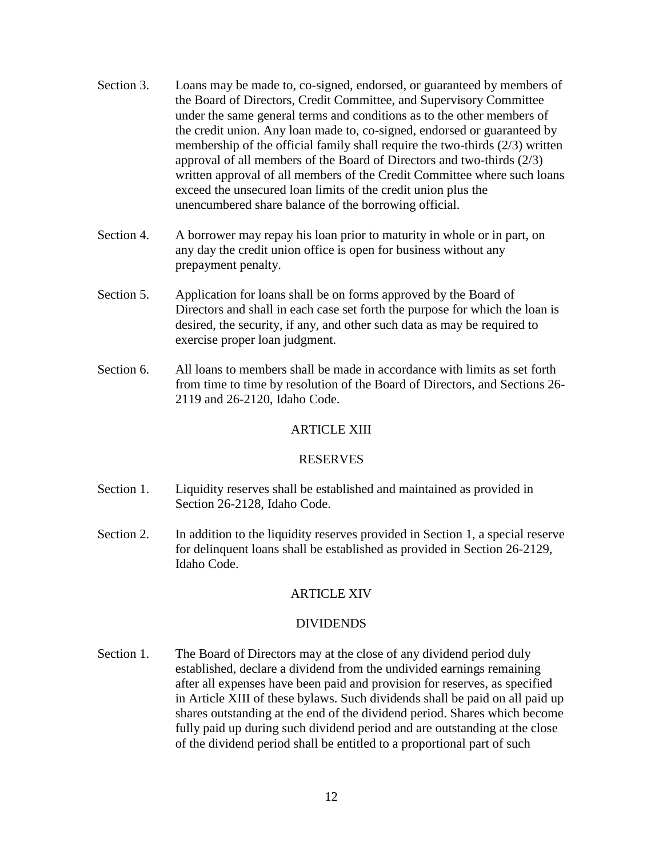- Section 3. Loans may be made to, co-signed, endorsed, or guaranteed by members of the Board of Directors, Credit Committee, and Supervisory Committee under the same general terms and conditions as to the other members of the credit union. Any loan made to, co-signed, endorsed or guaranteed by membership of the official family shall require the two-thirds (2/3) written approval of all members of the Board of Directors and two-thirds (2/3) written approval of all members of the Credit Committee where such loans exceed the unsecured loan limits of the credit union plus the unencumbered share balance of the borrowing official.
- Section 4. A borrower may repay his loan prior to maturity in whole or in part, on any day the credit union office is open for business without any prepayment penalty.
- Section 5. Application for loans shall be on forms approved by the Board of Directors and shall in each case set forth the purpose for which the loan is desired, the security, if any, and other such data as may be required to exercise proper loan judgment.
- Section 6. All loans to members shall be made in accordance with limits as set forth from time to time by resolution of the Board of Directors, and Sections 26- 2119 and 26-2120, Idaho Code.

# ARTICLE XIII

## RESERVES

- Section 1. Liquidity reserves shall be established and maintained as provided in Section 26-2128, Idaho Code.
- Section 2. In addition to the liquidity reserves provided in Section 1, a special reserve for delinquent loans shall be established as provided in Section 26-2129, Idaho Code.

# ARTICLE XIV

## DIVIDENDS

Section 1. The Board of Directors may at the close of any dividend period duly established, declare a dividend from the undivided earnings remaining after all expenses have been paid and provision for reserves, as specified in Article XIII of these bylaws. Such dividends shall be paid on all paid up shares outstanding at the end of the dividend period. Shares which become fully paid up during such dividend period and are outstanding at the close of the dividend period shall be entitled to a proportional part of such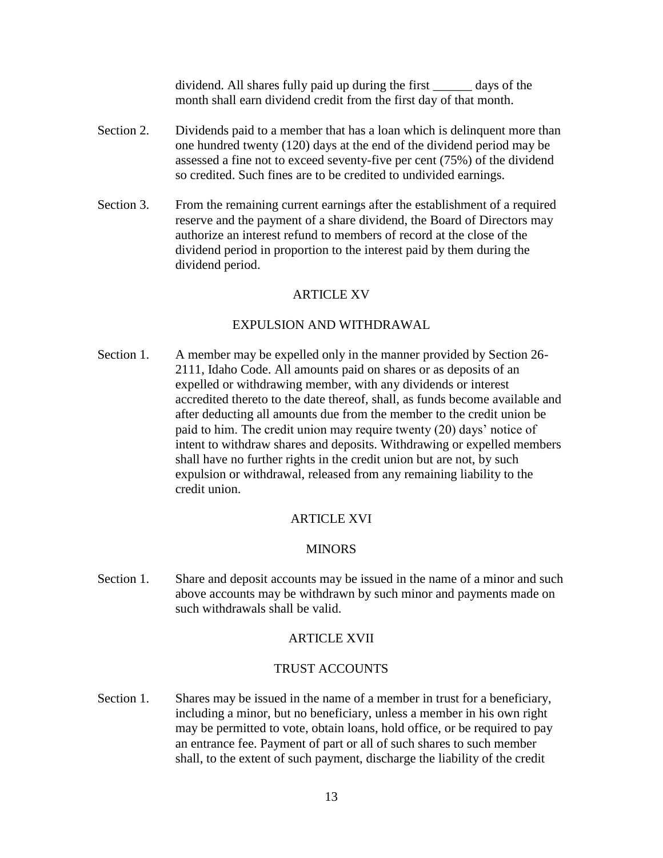dividend. All shares fully paid up during the first days of the month shall earn dividend credit from the first day of that month.

- Section 2. Dividends paid to a member that has a loan which is delinquent more than one hundred twenty (120) days at the end of the dividend period may be assessed a fine not to exceed seventy-five per cent (75%) of the dividend so credited. Such fines are to be credited to undivided earnings.
- Section 3. From the remaining current earnings after the establishment of a required reserve and the payment of a share dividend, the Board of Directors may authorize an interest refund to members of record at the close of the dividend period in proportion to the interest paid by them during the dividend period.

# ARTICLE XV

# EXPULSION AND WITHDRAWAL

Section 1. A member may be expelled only in the manner provided by Section 26- 2111, Idaho Code. All amounts paid on shares or as deposits of an expelled or withdrawing member, with any dividends or interest accredited thereto to the date thereof, shall, as funds become available and after deducting all amounts due from the member to the credit union be paid to him. The credit union may require twenty (20) days' notice of intent to withdraw shares and deposits. Withdrawing or expelled members shall have no further rights in the credit union but are not, by such expulsion or withdrawal, released from any remaining liability to the credit union.

# ARTICLE XVI

## **MINORS**

Section 1. Share and deposit accounts may be issued in the name of a minor and such above accounts may be withdrawn by such minor and payments made on such withdrawals shall be valid.

## ARTICLE XVII

# TRUST ACCOUNTS

Section 1. Shares may be issued in the name of a member in trust for a beneficiary, including a minor, but no beneficiary, unless a member in his own right may be permitted to vote, obtain loans, hold office, or be required to pay an entrance fee. Payment of part or all of such shares to such member shall, to the extent of such payment, discharge the liability of the credit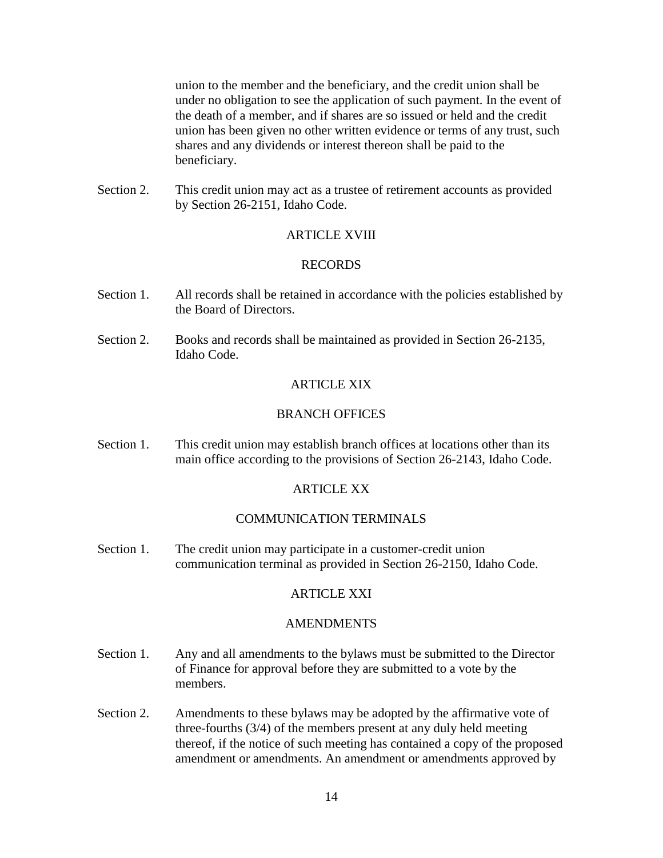union to the member and the beneficiary, and the credit union shall be under no obligation to see the application of such payment. In the event of the death of a member, and if shares are so issued or held and the credit union has been given no other written evidence or terms of any trust, such shares and any dividends or interest thereon shall be paid to the beneficiary.

Section 2. This credit union may act as a trustee of retirement accounts as provided by Section 26-2151, Idaho Code.

# ARTICLE XVIII

## RECORDS

- Section 1. All records shall be retained in accordance with the policies established by the Board of Directors.
- Section 2. Books and records shall be maintained as provided in Section 26-2135, Idaho Code.

# **ARTICLE XIX**

#### BRANCH OFFICES

Section 1. This credit union may establish branch offices at locations other than its main office according to the provisions of Section 26-2143, Idaho Code.

# ARTICLE XX

# COMMUNICATION TERMINALS

Section 1. The credit union may participate in a customer-credit union communication terminal as provided in Section 26-2150, Idaho Code.

#### ARTICLE XXI

#### AMENDMENTS

- Section 1. Any and all amendments to the bylaws must be submitted to the Director of Finance for approval before they are submitted to a vote by the members.
- Section 2. Amendments to these bylaws may be adopted by the affirmative vote of three-fourths (3/4) of the members present at any duly held meeting thereof, if the notice of such meeting has contained a copy of the proposed amendment or amendments. An amendment or amendments approved by